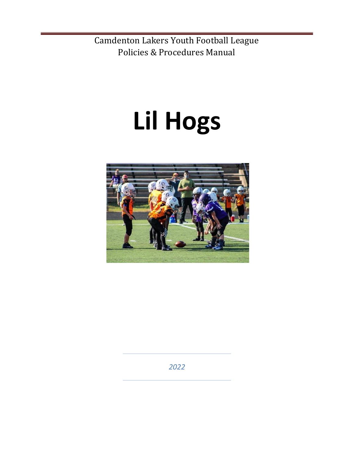# **Lil Hogs**



*2022*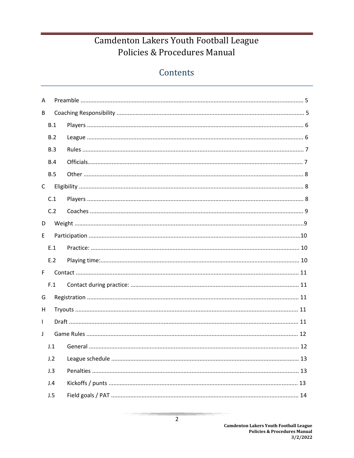## Contents

| A            |            |  |
|--------------|------------|--|
| B            |            |  |
|              | B.1        |  |
|              | B.2        |  |
|              | B.3        |  |
|              | <b>B.4</b> |  |
|              | B.5        |  |
| $\mathsf{C}$ |            |  |
|              | C.1        |  |
|              | C.2        |  |
| D            |            |  |
| E.           |            |  |
|              | E.1        |  |
|              | E.2        |  |
| F.           |            |  |
|              | F.1        |  |
| G            |            |  |
| H            |            |  |
| $\mathsf{L}$ |            |  |
| $\perp$      |            |  |
|              | J.1        |  |
|              | J.2        |  |
|              | J.3        |  |
|              | J.4        |  |
|              | J.5        |  |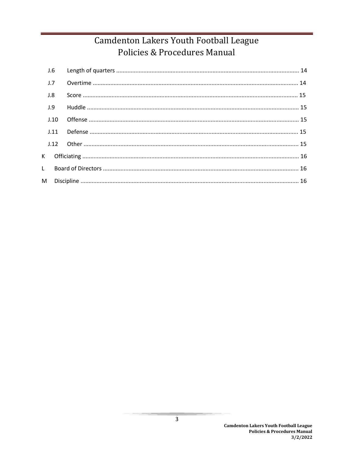| J.6  |  |
|------|--|
| J.7  |  |
| J.8  |  |
| J.9  |  |
| J.10 |  |
| J.11 |  |
| J.12 |  |
|      |  |
|      |  |
|      |  |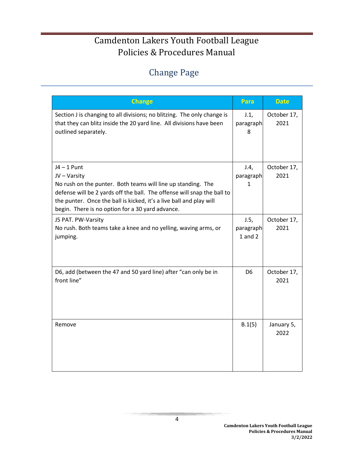# Change Page

| <b>Change</b>                                                                                                                                                                                                                                                                                       | Para                             | <b>Date</b>         |
|-----------------------------------------------------------------------------------------------------------------------------------------------------------------------------------------------------------------------------------------------------------------------------------------------------|----------------------------------|---------------------|
| Section J is changing to all divisions; no blitzing. The only change is<br>that they can blitz inside the 20 yard line. All divisions have been<br>outlined separately.                                                                                                                             | J.1,<br>paragraph<br>8           | October 17,<br>2021 |
| $J4 - 1$ Punt<br>JV - Varsity<br>No rush on the punter. Both teams will line up standing. The<br>defense will be 2 yards off the ball. The offense will snap the ball to<br>the punter. Once the ball is kicked, it's a live ball and play will<br>begin. There is no option for a 30 yard advance. | J.4,<br>paragraph<br>1           | October 17,<br>2021 |
| J5 PAT. PW-Varsity<br>No rush. Both teams take a knee and no yelling, waving arms, or<br>jumping.                                                                                                                                                                                                   | J.5,<br>paragraph<br>$1$ and $2$ | October 17,<br>2021 |
| D6, add (between the 47 and 50 yard line) after "can only be in<br>front line"                                                                                                                                                                                                                      | D <sub>6</sub>                   | October 17,<br>2021 |
| Remove                                                                                                                                                                                                                                                                                              | B.1(5)                           | January 5,<br>2022  |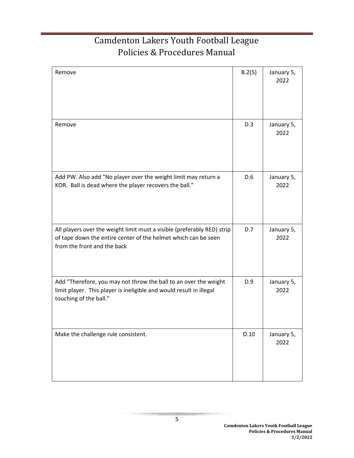| Remove                                                                                                                                                                   | B.2(5) | January 5,<br>2022 |
|--------------------------------------------------------------------------------------------------------------------------------------------------------------------------|--------|--------------------|
| Remove                                                                                                                                                                   | D.3    | January 5,<br>2022 |
| Add PW. Also add "No player over the weight limit may return a<br>KOR. Ball is dead where the player recovers the ball."                                                 | D.6    | January 5,<br>2022 |
| All players over the weight limit must a visible (preferably RED) strip<br>of tape down the entire center of the helmet which can be seen<br>from the front and the back | D.7    | January 5,<br>2022 |
| Add "Therefore, you may not throw the ball to an over the weight<br>limit player. This player is ineligible and would result in illegal<br>touching of the ball."        | D.9    | January 5,<br>2022 |
| Make the challenge rule consistent.                                                                                                                                      | D.10   | January 5,<br>2022 |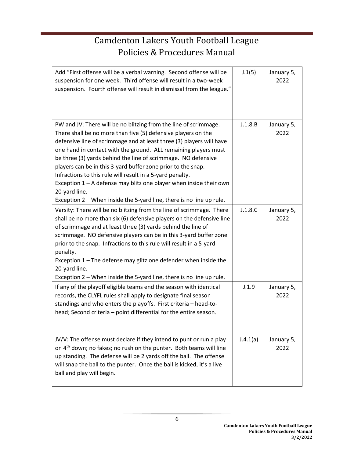| Add "First offense will be a verbal warning. Second offense will be<br>suspension for one week. Third offense will result in a two-week<br>suspension. Fourth offense will result in dismissal from the league."                                                                                                                                                                                                                                                                                                                                                                                                                            | J.1(5)   | January 5,<br>2022 |
|---------------------------------------------------------------------------------------------------------------------------------------------------------------------------------------------------------------------------------------------------------------------------------------------------------------------------------------------------------------------------------------------------------------------------------------------------------------------------------------------------------------------------------------------------------------------------------------------------------------------------------------------|----------|--------------------|
| PW and JV: There will be no blitzing from the line of scrimmage.<br>There shall be no more than five (5) defensive players on the<br>defensive line of scrimmage and at least three (3) players will have<br>one hand in contact with the ground. ALL remaining players must<br>be three (3) yards behind the line of scrimmage. NO defensive<br>players can be in this 3-yard buffer zone prior to the snap.<br>Infractions to this rule will result in a 5-yard penalty.<br>Exception $1 - A$ defense may blitz one player when inside their own<br>20-yard line.<br>Exception 2 – When inside the 5-yard line, there is no line up rule. | J.1.8.B  | January 5,<br>2022 |
| Varsity: There will be no blitzing from the line of scrimmage. There<br>shall be no more than six (6) defensive players on the defensive line<br>of scrimmage and at least three (3) yards behind the line of<br>scrimmage. NO defensive players can be in this 3-yard buffer zone<br>prior to the snap. Infractions to this rule will result in a 5-yard<br>penalty.<br>Exception 1 - The defense may glitz one defender when inside the<br>20-yard line.<br>Exception 2 - When inside the 5-yard line, there is no line up rule.                                                                                                          | J.1.8.C  | January 5,<br>2022 |
| If any of the playoff eligible teams end the season with identical<br>records, the CLYFL rules shall apply to designate final season<br>standings and who enters the playoffs. First criteria - head-to-<br>head; Second criteria - point differential for the entire season.                                                                                                                                                                                                                                                                                                                                                               | J.1.9    | January 5,<br>2022 |
| JV/V: The offense must declare if they intend to punt or run a play<br>on 4 <sup>th</sup> down; no fakes; no rush on the punter. Both teams will line<br>up standing. The defense will be 2 yards off the ball. The offense<br>will snap the ball to the punter. Once the ball is kicked, it's a live<br>ball and play will begin.                                                                                                                                                                                                                                                                                                          | J.4.1(a) | January 5,<br>2022 |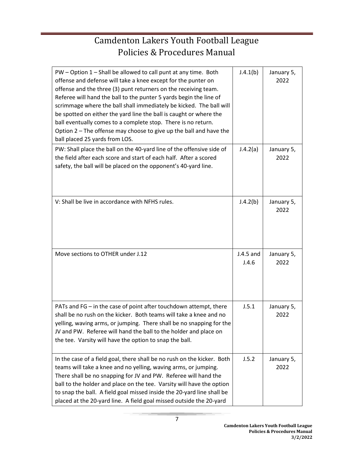| PW - Option 1 - Shall be allowed to call punt at any time. Both<br>offense and defense will take a knee except for the punter on<br>offense and the three (3) punt returners on the receiving team.<br>Referee will hand the ball to the punter 5 yards begin the line of<br>scrimmage where the ball shall immediately be kicked. The ball will<br>be spotted on either the yard line the ball is caught or where the<br>ball eventually comes to a complete stop. There is no return.<br>Option 2 - The offense may choose to give up the ball and have the<br>ball placed 25 yards from LOS. | J.4.1(b)             | January 5,<br>2022 |
|-------------------------------------------------------------------------------------------------------------------------------------------------------------------------------------------------------------------------------------------------------------------------------------------------------------------------------------------------------------------------------------------------------------------------------------------------------------------------------------------------------------------------------------------------------------------------------------------------|----------------------|--------------------|
| PW: Shall place the ball on the 40-yard line of the offensive side of<br>the field after each score and start of each half. After a scored<br>safety, the ball will be placed on the opponent's 40-yard line.                                                                                                                                                                                                                                                                                                                                                                                   | J.4.2(a)             | January 5,<br>2022 |
| V: Shall be live in accordance with NFHS rules.                                                                                                                                                                                                                                                                                                                                                                                                                                                                                                                                                 | J.4.2(b)             | January 5,<br>2022 |
| Move sections to OTHER under J.12                                                                                                                                                                                                                                                                                                                                                                                                                                                                                                                                                               | $J.4.5$ and<br>J.4.6 | January 5,<br>2022 |
| PATs and FG - in the case of point after touchdown attempt, there<br>shall be no rush on the kicker. Both teams will take a knee and no<br>yelling, waving arms, or jumping. There shall be no snapping for the<br>JV and PW. Referee will hand the ball to the holder and place on<br>the tee. Varsity will have the option to snap the ball.                                                                                                                                                                                                                                                  | J.5.1                | January 5,<br>2022 |
| In the case of a field goal, there shall be no rush on the kicker. Both<br>teams will take a knee and no yelling, waving arms, or jumping.<br>There shall be no snapping for JV and PW. Referee will hand the<br>ball to the holder and place on the tee. Varsity will have the option<br>to snap the ball. A field goal missed inside the 20-yard line shall be<br>placed at the 20-yard line. A field goal missed outside the 20-yard                                                                                                                                                         | J.5.2                | January 5,<br>2022 |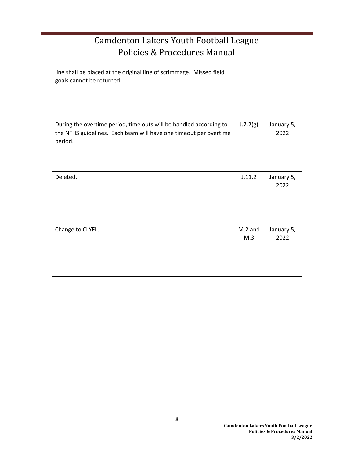| line shall be placed at the original line of scrimmage. Missed field<br>goals cannot be returned.                                                  |                  |                    |
|----------------------------------------------------------------------------------------------------------------------------------------------------|------------------|--------------------|
| During the overtime period, time outs will be handled according to<br>the NFHS guidelines. Each team will have one timeout per overtime<br>period. | J.7.2(g)         | January 5,<br>2022 |
| Deleted.                                                                                                                                           | J.11.2           | January 5,<br>2022 |
| Change to CLYFL.                                                                                                                                   | $M.2$ and<br>M.3 | January 5,<br>2022 |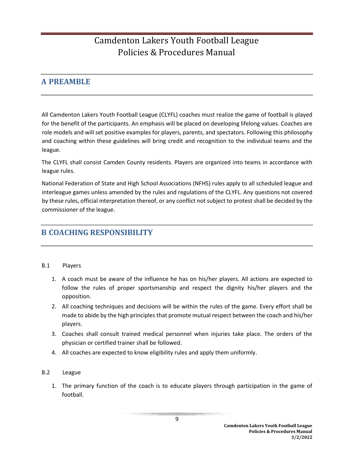## **A PREAMBLE**

All Camdenton Lakers Youth Football League (CLYFL) coaches must realize the game of football is played for the benefit of the participants. An emphasis will be placed on developing lifelong values. Coaches are role models and will set positive examples for players, parents, and spectators. Following this philosophy and coaching within these guidelines will bring credit and recognition to the individual teams and the league.

The CLYFL shall consist Camden County residents. Players are organized into teams in accordance with league rules.

National Federation of State and High School Associations (NFHS) rules apply to all scheduled league and interleague games unless amended by the rules and regulations of the CLYFL. Any questions not covered by these rules, official interpretation thereof, or any conflict not subject to protest shall be decided by the commissioner of the league.

## **B COACHING RESPONSIBILITY**

#### B.1 Players

- 1. A coach must be aware of the influence he has on his/her players. All actions are expected to follow the rules of proper sportsmanship and respect the dignity his/her players and the opposition.
- 2. All coaching techniques and decisions will be within the rules of the game. Every effort shall be made to abide by the high principles that promote mutual respect between the coach and his/her players.
- 3. Coaches shall consult trained medical personnel when injuries take place. The orders of the physician or certified trainer shall be followed.
- 4. All coaches are expected to know eligibility rules and apply them uniformly.
- B.2 League
	- 1. The primary function of the coach is to educate players through participation in the game of football.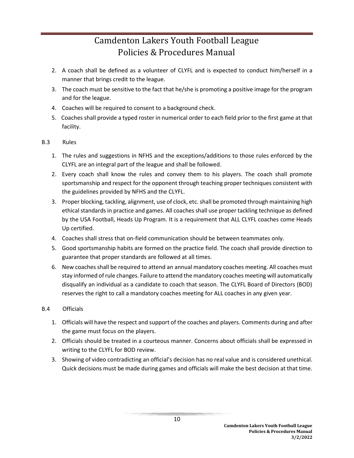- 2. A coach shall be defined as a volunteer of CLYFL and is expected to conduct him/herself in a manner that brings credit to the league.
- 3. The coach must be sensitive to the fact that he/she is promoting a positive image for the program and for the league.
- 4. Coaches will be required to consent to a background check.
- 5. Coaches shall provide a typed roster in numerical order to each field prior to the first game at that facility.

#### B.3 Rules

- 1. The rules and suggestions in NFHS and the exceptions/additions to those rules enforced by the CLYFL are an integral part of the league and shall be followed.
- 2. Every coach shall know the rules and convey them to his players. The coach shall promote sportsmanship and respect for the opponent through teaching proper techniques consistent with the guidelines provided by NFHS and the CLYFL.
- 3. Proper blocking, tackling, alignment, use of clock, etc. shall be promoted through maintaining high ethical standards in practice and games. All coaches shall use proper tackling technique as defined by the USA Football, Heads Up Program. It is a requirement that ALL CLYFL coaches come Heads Up certified.
- 4. Coaches shall stress that on-field communication should be between teammates only.
- 5. Good sportsmanship habits are formed on the practice field. The coach shall provide direction to guarantee that proper standards are followed at all times.
- 6. New coaches shall be required to attend an annual mandatory coaches meeting. All coaches must stay informed of rule changes. Failure to attend the mandatory coaches meeting will automatically disqualify an individual as a candidate to coach that season. The CLYFL Board of Directors (BOD) reserves the right to call a mandatory coaches meeting for ALL coaches in any given year.

#### B.4 Officials

- 1. Officials will have the respect and support of the coaches and players. Comments during and after the game must focus on the players.
- 2. Officials should be treated in a courteous manner. Concerns about officials shall be expressed in writing to the CLYFL for BOD review.
- 3. Showing of video contradicting an official's decision has no real value and is considered unethical. Quick decisions must be made during games and officials will make the best decision at that time.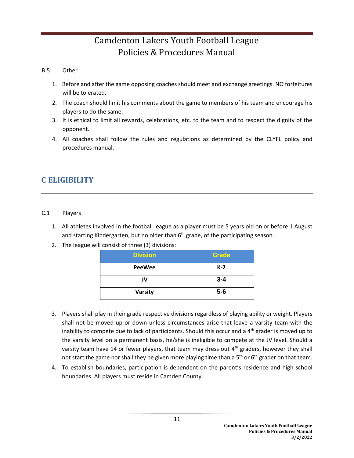#### B.5 Other

- 1. Before and after the game opposing coaches should meet and exchange greetings. NO forfeitures will be tolerated.
- 2. The coach should limit his comments about the game to members of his team and encourage his players to do the same.
- 3. It is ethical to limit all rewards, celebrations, etc. to the team and to respect the dignity of the opponent.
- 4. All coaches shall follow the rules and regulations as determined by the CLYFL policy and procedures manual.

## **C ELIGIBILITY**

#### C.1 Players

- 1. All athletes involved in the football league as a player must be 5 years old on or before 1 August and starting Kindergarten, but no older than 6<sup>th</sup> grade, of the participating season.
- 2. The league will consist of three (3) divisions:

| <b>Division</b> | Grade   |
|-----------------|---------|
| <b>PeeWee</b>   | $K-2$   |
| JV              | $3 - 4$ |
| <b>Varsity</b>  | $5-6$   |

- 3. Players shall play in their grade respective divisions regardless of playing ability or weight. Players shall not be moved up or down unless circumstances arise that leave a varsity team with the inability to compete due to lack of participants. Should this occur and a  $4<sup>th</sup>$  grader is moved up to the varsity level on a permanent basis, he/she is ineligible to compete at the JV level. Should a varsity team have 14 or fewer players, that team may dress out 4<sup>th</sup> graders, however they shall not start the game nor shall they be given more playing time than a 5<sup>th</sup> or 6<sup>th</sup> grader on that team.
- 4. To establish boundaries, participation is dependent on the parent's residence and high school boundaries. All players must reside in Camden County.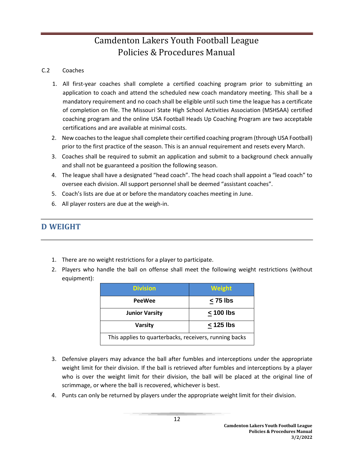#### C.2 Coaches

- 1. All first-year coaches shall complete a certified coaching program prior to submitting an application to coach and attend the scheduled new coach mandatory meeting. This shall be a mandatory requirement and no coach shall be eligible until such time the league has a certificate of completion on file. The Missouri State High School Activities Association (MSHSAA) certified coaching program and the online USA Football Heads Up Coaching Program are two acceptable certifications and are available at minimal costs.
- 2. New coaches to the league shall complete their certified coaching program (through USA Football) prior to the first practice of the season. This is an annual requirement and resets every March.
- 3. Coaches shall be required to submit an application and submit to a background check annually and shall not be guaranteed a position the following season.
- 4. The league shall have a designated "head coach". The head coach shall appoint a "lead coach" to oversee each division. All support personnel shall be deemed "assistant coaches".
- 5. Coach's lists are due at or before the mandatory coaches meeting in June.
- 6. All player rosters are due at the weigh-in.

## **D WEIGHT**

- 1. There are no weight restrictions for a player to participate.
- 2. Players who handle the ball on offense shall meet the following weight restrictions (without equipment):

| <b>Division</b>                                        | <b>Weight</b> |  |
|--------------------------------------------------------|---------------|--|
| <b>PeeWee</b>                                          | $\leq$ 75 lbs |  |
| <b>Junior Varsity</b>                                  | < 100 lbs     |  |
| < 125 lbs<br><b>Varsity</b>                            |               |  |
| This applies to quarterbacks, receivers, running backs |               |  |

- 3. Defensive players may advance the ball after fumbles and interceptions under the appropriate weight limit for their division. If the ball is retrieved after fumbles and interceptions by a player who is over the weight limit for their division, the ball will be placed at the original line of scrimmage, or where the ball is recovered, whichever is best.
- 4. Punts can only be returned by players under the appropriate weight limit for their division.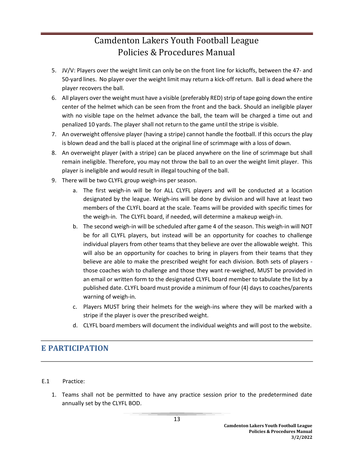- 5. JV/V: Players over the weight limit can only be on the front line for kickoffs, between the 47- and 50-yard lines. No player over the weight limit may return a kick-off return. Ball is dead where the player recovers the ball.
- 6. All players over the weight must have a visible (preferably RED) strip of tape going down the entire center of the helmet which can be seen from the front and the back. Should an ineligible player with no visible tape on the helmet advance the ball, the team will be charged a time out and penalized 10 yards. The player shall not return to the game until the stripe is visible.
- 7. An overweight offensive player (having a stripe) cannot handle the football. If this occurs the play is blown dead and the ball is placed at the original line of scrimmage with a loss of down.
- 8. An overweight player (with a stripe) can be placed anywhere on the line of scrimmage but shall remain ineligible. Therefore, you may not throw the ball to an over the weight limit player. This player is ineligible and would result in illegal touching of the ball.
- 9. There will be two CLYFL group weigh-ins per season.
	- a. The first weigh-in will be for ALL CLYFL players and will be conducted at a location designated by the league. Weigh-ins will be done by division and will have at least two members of the CLYFL board at the scale. Teams will be provided with specific times for the weigh-in. The CLYFL board, if needed, will determine a makeup weigh-in.
	- b. The second weigh-in will be scheduled after game 4 of the season. This weigh-in will NOT be for all CLYFL players, but instead will be an opportunity for coaches to challenge individual players from other teams that they believe are over the allowable weight. This will also be an opportunity for coaches to bring in players from their teams that they believe are able to make the prescribed weight for each division. Both sets of players those coaches wish to challenge and those they want re-weighed, MUST be provided in an email or written form to the designated CLYFL board member to tabulate the list by a published date. CLYFL board must provide a minimum of four (4) days to coaches/parents warning of weigh-in.
	- c. Players MUST bring their helmets for the weigh-ins where they will be marked with a stripe if the player is over the prescribed weight.
	- d. CLYFL board members will document the individual weights and will post to the website.

## **E PARTICIPATION**

- E.1 Practice:
	- 1. Teams shall not be permitted to have any practice session prior to the predetermined date annually set by the CLYFL BOD.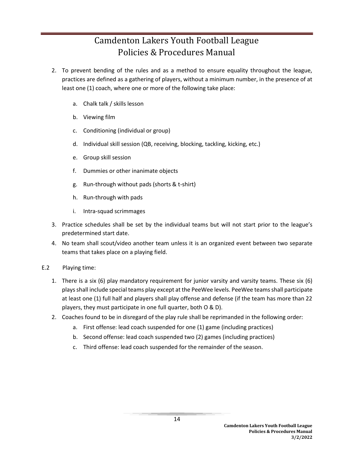- 2. To prevent bending of the rules and as a method to ensure equality throughout the league, practices are defined as a gathering of players, without a minimum number, in the presence of at least one (1) coach, where one or more of the following take place:
	- a. Chalk talk / skills lesson
	- b. Viewing film
	- c. Conditioning (individual or group)
	- d. Individual skill session (QB, receiving, blocking, tackling, kicking, etc.)
	- e. Group skill session
	- f. Dummies or other inanimate objects
	- g. Run-through without pads (shorts & t-shirt)
	- h. Run-through with pads
	- i. Intra-squad scrimmages
- 3. Practice schedules shall be set by the individual teams but will not start prior to the league's predetermined start date.
- 4. No team shall scout/video another team unless it is an organized event between two separate teams that takes place on a playing field.
- E.2 Playing time:
	- 1. There is a six (6) play mandatory requirement for junior varsity and varsity teams. These six (6) plays shall include special teams play except at the PeeWee levels. PeeWee teams shall participate at least one (1) full half and players shall play offense and defense (if the team has more than 22 players, they must participate in one full quarter, both O & D).
	- 2. Coaches found to be in disregard of the play rule shall be reprimanded in the following order:
		- a. First offense: lead coach suspended for one (1) game (including practices)
		- b. Second offense: lead coach suspended two (2) games (including practices)
		- c. Third offense: lead coach suspended for the remainder of the season.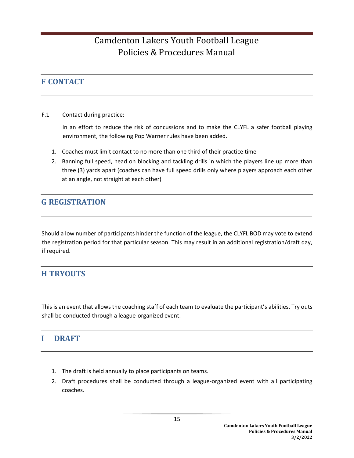## **F CONTACT**

F.1 Contact during practice:

In an effort to reduce the risk of concussions and to make the CLYFL a safer football playing environment, the following Pop Warner rules have been added.

- 1. Coaches must limit contact to no more than one third of their practice time
- 2. Banning full speed, head on blocking and tackling drills in which the players line up more than three (3) yards apart (coaches can have full speed drills only where players approach each other at an angle, not straight at each other)

## **G REGISTRATION**

Should a low number of participants hinder the function of the league, the CLYFL BOD may vote to extend the registration period for that particular season. This may result in an additional registration/draft day, if required.

## **H TRYOUTS**

This is an event that allows the coaching staff of each team to evaluate the participant's abilities. Try outs shall be conducted through a league-organized event.

## **I DRAFT**

- 1. The draft is held annually to place participants on teams.
- 2. Draft procedures shall be conducted through a league-organized event with all participating coaches.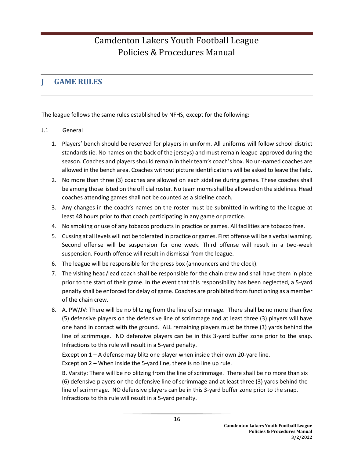## **J GAME RULES**

The league follows the same rules established by NFHS, except for the following:

#### J.1 General

- 1. Players' bench should be reserved for players in uniform. All uniforms will follow school district standards (ie. No names on the back of the jerseys) and must remain league-approved during the season. Coaches and players should remain in their team's coach's box. No un-named coaches are allowed in the bench area. Coaches without picture identifications will be asked to leave the field.
- 2. No more than three (3) coaches are allowed on each sideline during games. These coaches shall be among those listed on the official roster. No team moms shall be allowed on the sidelines. Head coaches attending games shall not be counted as a sideline coach.
- 3. Any changes in the coach's names on the roster must be submitted in writing to the league at least 48 hours prior to that coach participating in any game or practice.
- 4. No smoking or use of any tobacco products in practice or games. All facilities are tobacco free.
- 5. Cussing at all levels will not be tolerated in practice or games. First offense will be a verbal warning. Second offense will be suspension for one week. Third offense will result in a two-week suspension. Fourth offense will result in dismissal from the league.
- 6. The league will be responsible for the press box (announcers and the clock).
- 7. The visiting head/lead coach shall be responsible for the chain crew and shall have them in place prior to the start of their game. In the event that this responsibility has been neglected, a 5-yard penalty shall be enforced for delay of game. Coaches are prohibited from functioning as a member of the chain crew.
- 8. A. PW/JV: There will be no blitzing from the line of scrimmage. There shall be no more than five (5) defensive players on the defensive line of scrimmage and at least three (3) players will have one hand in contact with the ground. ALL remaining players must be three (3) yards behind the line of scrimmage. NO defensive players can be in this 3-yard buffer zone prior to the snap. Infractions to this rule will result in a 5-yard penalty.

Exception 1 – A defense may blitz one player when inside their own 20-yard line. Exception 2 – When inside the 5-yard line, there is no line up rule.

B. Varsity: There will be no blitzing from the line of scrimmage. There shall be no more than six (6) defensive players on the defensive line of scrimmage and at least three (3) yards behind the line of scrimmage. NO defensive players can be in this 3-yard buffer zone prior to the snap. Infractions to this rule will result in a 5-yard penalty.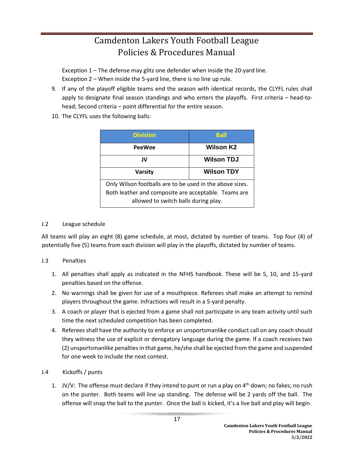Exception 1 – The defense may glitz one defender when inside the 20-yard line. Exception 2 – When inside the 5-yard line, there is no line up rule.

- 9. If any of the playoff eligible teams end the season with identical records, the CLYFL rules shall apply to designate final season standings and who enters the playoffs. First criteria – head-tohead; Second criteria – point differential for the entire season.
- 10. The CLYFL uses the following balls:

| <b>Division</b>                                                                                                  | <b>Ball</b>       |  |
|------------------------------------------------------------------------------------------------------------------|-------------------|--|
| <b>PeeWee</b>                                                                                                    | <b>Wilson K2</b>  |  |
| JV                                                                                                               | <b>Wilson TDJ</b> |  |
| <b>Wilson TDY</b><br><b>Varsity</b>                                                                              |                   |  |
| Only Wilson footballs are to be used in the above sizes.<br>Both leather and composite are acceptable. Teams are |                   |  |
| allowed to switch balls during play.                                                                             |                   |  |

#### J.2 League schedule

All teams will play an eight (8) game schedule, at most, dictated by number of teams. Top four (4) of potentially five (5) teams from each division will play in the playoffs, dictated by number of teams.

#### J.3 Penalties

- 1. All penalties shall apply as indicated in the NFHS handbook. These will be 5, 10, and 15-yard penalties based on the offense.
- 2. No warnings shall be given for use of a mouthpiece. Referees shall make an attempt to remind players throughout the game. Infractions will result in a 5-yard penalty.
- 3. A coach or player that is ejected from a game shall not participate in any team activity until such time the next scheduled competition has been completed.
- 4. Referees shall have the authority to enforce an unsportsmanlike conduct call on any coach should they witness the use of explicit or derogatory language during the game. If a coach receives two (2) unsportsmanlike penalties in that game, he/she shall be ejected from the game and suspended for one week to include the next contest.
- J.4 Kickoffs / punts
	- 1. JV/V: The offense must declare if they intend to punt or run a play on  $4<sup>th</sup>$  down; no fakes; no rush on the punter. Both teams will line up standing. The defense will be 2 yards off the ball. The offense will snap the ball to the punter. Once the ball is kicked, it's a live ball and play will begin.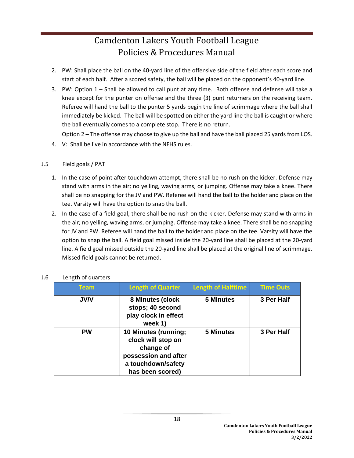- 2. PW: Shall place the ball on the 40-yard line of the offensive side of the field after each score and start of each half. After a scored safety, the ball will be placed on the opponent's 40-yard line.
- 3. PW: Option 1 Shall be allowed to call punt at any time. Both offense and defense will take a knee except for the punter on offense and the three (3) punt returners on the receiving team. Referee will hand the ball to the punter 5 yards begin the line of scrimmage where the ball shall immediately be kicked. The ball will be spotted on either the yard line the ball is caught or where the ball eventually comes to a complete stop. There is no return.

Option 2 – The offense may choose to give up the ball and have the ball placed 25 yards from LOS.

4. V: Shall be live in accordance with the NFHS rules.

#### J.5 Field goals / PAT

- 1. In the case of point after touchdown attempt, there shall be no rush on the kicker. Defense may stand with arms in the air; no yelling, waving arms, or jumping. Offense may take a knee. There shall be no snapping for the JV and PW. Referee will hand the ball to the holder and place on the tee. Varsity will have the option to snap the ball.
- 2. In the case of a field goal, there shall be no rush on the kicker. Defense may stand with arms in the air; no yelling, waving arms, or jumping. Offense may take a knee. There shall be no snapping for JV and PW. Referee will hand the ball to the holder and place on the tee. Varsity will have the option to snap the ball. A field goal missed inside the 20-yard line shall be placed at the 20-yard line. A field goal missed outside the 20-yard line shall be placed at the original line of scrimmage. Missed field goals cannot be returned.

| <b>Team</b> | <b>Length of Quarter</b>                                                                                                  | <b>Length of Halftime</b> | <b>Time Outs</b> |
|-------------|---------------------------------------------------------------------------------------------------------------------------|---------------------------|------------------|
| <b>JV/V</b> | 8 Minutes (clock<br>stops; 40 second<br>play clock in effect<br>week 1)                                                   | <b>5 Minutes</b>          | 3 Per Half       |
| <b>PW</b>   | 10 Minutes (running;<br>clock will stop on<br>change of<br>possession and after<br>a touchdown/safety<br>has been scored) | <b>5 Minutes</b>          | 3 Per Half       |

#### J.6 Length of quarters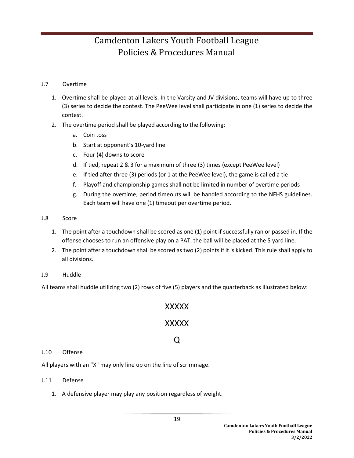#### J.7 Overtime

- 1. Overtime shall be played at all levels. In the Varsity and JV divisions, teams will have up to three (3) series to decide the contest. The PeeWee level shall participate in one (1) series to decide the contest.
- 2. The overtime period shall be played according to the following:
	- a. Coin toss
	- b. Start at opponent's 10-yard line
	- c. Four (4) downs to score
	- d. If tied, repeat 2 & 3 for a maximum of three (3) times (except PeeWee level)
	- e. If tied after three (3) periods (or 1 at the PeeWee level), the game is called a tie
	- f. Playoff and championship games shall not be limited in number of overtime periods
	- g. During the overtime, period timeouts will be handled according to the NFHS guidelines. Each team will have one (1) timeout per overtime period.
- J.8 Score
	- 1. The point after a touchdown shall be scored as one (1) point if successfully ran or passed in. If the offense chooses to run an offensive play on a PAT, the ball will be placed at the 5 yard line.
	- 2. The point after a touchdown shall be scored as two (2) points if it is kicked. This rule shall apply to all divisions.
- J.9 Huddle

All teams shall huddle utilizing two (2) rows of five (5) players and the quarterback as illustrated below:

## XXXXX

## XXXXX

## Q

#### J.10 Offense

All players with an "X" may only line up on the line of scrimmage.

#### J.11 Defense

1. A defensive player may play any position regardless of weight.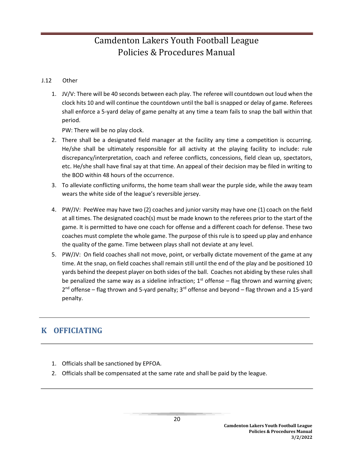#### J.12 Other

1. JV/V: There will be 40 seconds between each play. The referee will countdown out loud when the clock hits 10 and will continue the countdown until the ball is snapped or delay of game. Referees shall enforce a 5-yard delay of game penalty at any time a team fails to snap the ball within that period.

PW: There will be no play clock.

- 2. There shall be a designated field manager at the facility any time a competition is occurring. He/she shall be ultimately responsible for all activity at the playing facility to include: rule discrepancy/interpretation, coach and referee conflicts, concessions, field clean up, spectators, etc. He/she shall have final say at that time. An appeal of their decision may be filed in writing to the BOD within 48 hours of the occurrence.
- 3. To alleviate conflicting uniforms, the home team shall wear the purple side, while the away team wears the white side of the league's reversible jersey.
- 4. PW/JV: PeeWee may have two (2) coaches and junior varsity may have one (1) coach on the field at all times. The designated coach(s) must be made known to the referees prior to the start of the game. It is permitted to have one coach for offense and a different coach for defense. These two coaches must complete the whole game. The purpose of this rule is to speed up play and enhance the quality of the game. Time between plays shall not deviate at any level.
- 5. PW/JV: On field coaches shall not move, point, or verbally dictate movement of the game at any time. At the snap, on field coaches shall remain still until the end of the play and be positioned 10 yards behind the deepest player on both sides of the ball. Coaches not abiding by these rules shall be penalized the same way as a sideline infraction;  $1<sup>st</sup>$  offense – flag thrown and warning given; 2<sup>nd</sup> offense – flag thrown and 5-yard penalty; 3<sup>rd</sup> offense and beyond – flag thrown and a 15-yard penalty.

## **K OFFICIATING**

- 1. Officials shall be sanctioned by EPFOA.
- 2. Officials shall be compensated at the same rate and shall be paid by the league.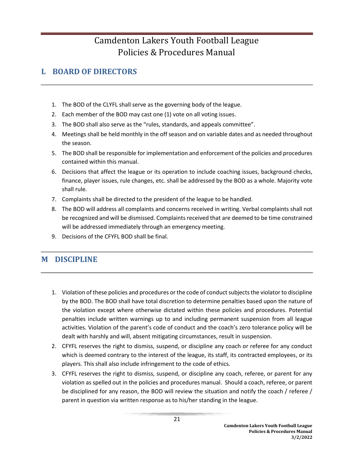## **L BOARD OF DIRECTORS**

- 1. The BOD of the CLYFL shall serve as the governing body of the league.
- 2. Each member of the BOD may cast one (1) vote on all voting issues.
- 3. The BOD shall also serve as the "rules, standards, and appeals committee".
- 4. Meetings shall be held monthly in the off season and on variable dates and as needed throughout the season.
- 5. The BOD shall be responsible for implementation and enforcement of the policies and procedures contained within this manual.
- 6. Decisions that affect the league or its operation to include coaching issues, background checks, finance, player issues, rule changes, etc. shall be addressed by the BOD as a whole. Majority vote shall rule.
- 7. Complaints shall be directed to the president of the league to be handled.
- 8. The BOD will address all complaints and concerns received in writing. Verbal complaints shall not be recognized and will be dismissed. Complaints received that are deemed to be time constrained will be addressed immediately through an emergency meeting.
- 9. Decisions of the CFYFL BOD shall be final.

## **M DISCIPLINE**

- 1. Violation of these policies and procedures or the code of conduct subjects the violator to discipline by the BOD. The BOD shall have total discretion to determine penalties based upon the nature of the violation except where otherwise dictated within these policies and procedures. Potential penalties include written warnings up to and including permanent suspension from all league activities. Violation of the parent's code of conduct and the coach's zero tolerance policy will be dealt with harshly and will, absent mitigating circumstances, result in suspension.
- 2. CFYFL reserves the right to dismiss, suspend, or discipline any coach or referee for any conduct which is deemed contrary to the interest of the league, its staff, its contracted employees, or its players. This shall also include infringement to the code of ethics.
- 3. CFYFL reserves the right to dismiss, suspend, or discipline any coach, referee, or parent for any violation as spelled out in the policies and procedures manual. Should a coach, referee, or parent be disciplined for any reason, the BOD will review the situation and notify the coach / referee / parent in question via written response as to his/her standing in the league.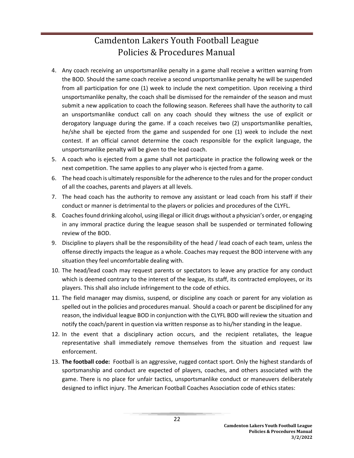- 4. Any coach receiving an unsportsmanlike penalty in a game shall receive a written warning from the BOD. Should the same coach receive a second unsportsmanlike penalty he will be suspended from all participation for one (1) week to include the next competition. Upon receiving a third unsportsmanlike penalty, the coach shall be dismissed for the remainder of the season and must submit a new application to coach the following season. Referees shall have the authority to call an unsportsmanlike conduct call on any coach should they witness the use of explicit or derogatory language during the game. If a coach receives two (2) unsportsmanlike penalties, he/she shall be ejected from the game and suspended for one (1) week to include the next contest. If an official cannot determine the coach responsible for the explicit language, the unsportsmanlike penalty will be given to the lead coach.
- 5. A coach who is ejected from a game shall not participate in practice the following week or the next competition. The same applies to any player who is ejected from a game.
- 6. The head coach is ultimately responsible for the adherence to the rules and for the proper conduct of all the coaches, parents and players at all levels.
- 7. The head coach has the authority to remove any assistant or lead coach from his staff if their conduct or manner is detrimental to the players or policies and procedures of the CLYFL.
- 8. Coaches found drinking alcohol, using illegal or illicit drugs without a physician's order, or engaging in any immoral practice during the league season shall be suspended or terminated following review of the BOD.
- 9. Discipline to players shall be the responsibility of the head / lead coach of each team, unless the offense directly impacts the league as a whole. Coaches may request the BOD intervene with any situation they feel uncomfortable dealing with.
- 10. The head/lead coach may request parents or spectators to leave any practice for any conduct which is deemed contrary to the interest of the league, its staff, its contracted employees, or its players. This shall also include infringement to the code of ethics.
- 11. The field manager may dismiss, suspend, or discipline any coach or parent for any violation as spelled out in the policies and procedures manual. Should a coach or parent be disciplined for any reason, the individual league BOD in conjunction with the CLYFL BOD will review the situation and notify the coach/parent in question via written response as to his/her standing in the league.
- 12. In the event that a disciplinary action occurs, and the recipient retaliates, the league representative shall immediately remove themselves from the situation and request law enforcement.
- 13. **The football code:** Football is an aggressive, rugged contact sport. Only the highest standards of sportsmanship and conduct are expected of players, coaches, and others associated with the game. There is no place for unfair tactics, unsportsmanlike conduct or maneuvers deliberately designed to inflict injury. The American Football Coaches Association code of ethics states: